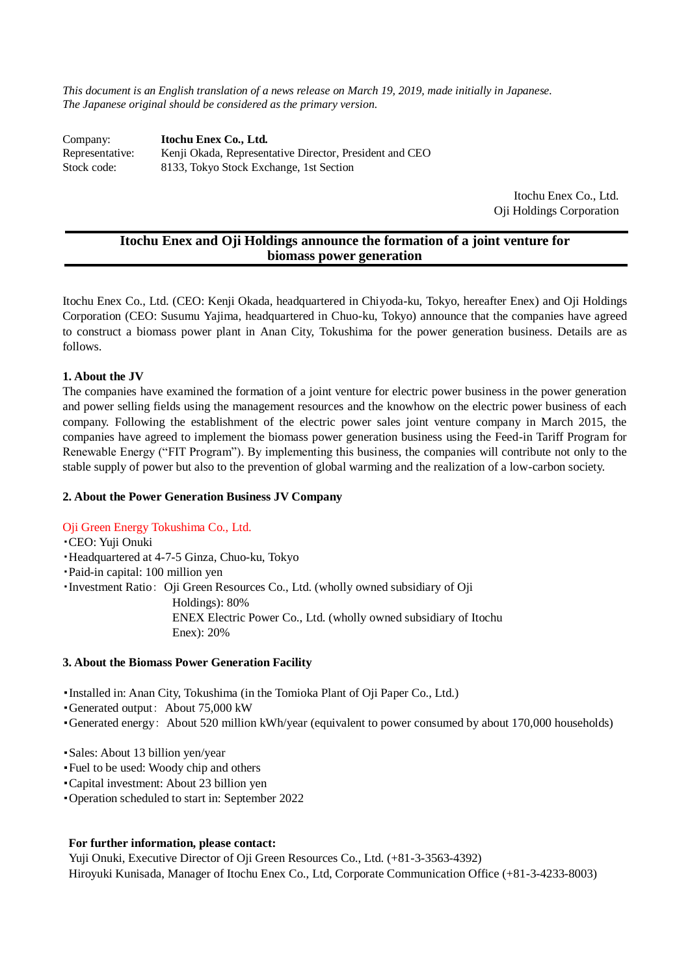*This document is an English translation of a news release on March 19, 2019, made initially in Japanese. The Japanese original should be considered as the primary version.*

Company: **Itochu Enex Co., Ltd.** Representative: Kenji Okada, Representative Director, President and CEO Stock code: 8133, Tokyo Stock Exchange, 1st Section

> Itochu Enex Co., Ltd. Oji Holdings Corporation

# **Itochu Enex and Oji Holdings announce the formation of a joint venture for biomass power generation**

Itochu Enex Co., Ltd. (CEO: Kenji Okada, headquartered in Chiyoda-ku, Tokyo, hereafter Enex) and Oji Holdings Corporation (CEO: Susumu Yajima, headquartered in Chuo-ku, Tokyo) announce that the companies have agreed to construct a biomass power plant in Anan City, Tokushima for the power generation business. Details are as follows.

# **1. About the JV**

The companies have examined the formation of a joint venture for electric power business in the power generation and power selling fields using the management resources and the knowhow on the electric power business of each company. Following the establishment of the electric power sales joint venture company in March 2015, the companies have agreed to implement the biomass power generation business using the Feed-in Tariff Program for Renewable Energy ("FIT Program"). By implementing this business, the companies will contribute not only to the stable supply of power but also to the prevention of global warming and the realization of a low-carbon society.

#### **2. About the Power Generation Business JV Company**

# Oji Green Energy Tokushima Co., Ltd.

### ・CEO: Yuji Onuki

- ・Headquartered at 4-7-5 Ginza, Chuo-ku, Tokyo
- ・Paid-in capital: 100 million yen

・Investment Ratio: Oji Green Resources Co., Ltd. (wholly owned subsidiary of Oji

Holdings): 80%

 ENEX Electric Power Co., Ltd. (wholly owned subsidiary of Itochu Enex): 20%

#### **3. About the Biomass Power Generation Facility**

・Installed in: Anan City, Tokushima (in the Tomioka Plant of Oji Paper Co., Ltd.)

- ・Generated output: About 75,000 kW
- ・Generated energy: About 520 million kWh/year (equivalent to power consumed by about 170,000 households)
- ・Sales: About 13 billion yen/year
- ・Fuel to be used: Woody chip and others
- ・Capital investment: About 23 billion yen
- ・Operation scheduled to start in: September 2022

# **For further information, please contact:**

Yuji Onuki, Executive Director of Oji Green Resources Co., Ltd. (+81-3-3563-4392) Hiroyuki Kunisada, Manager of Itochu Enex Co., Ltd, Corporate Communication Office (+81-3-4233-8003)